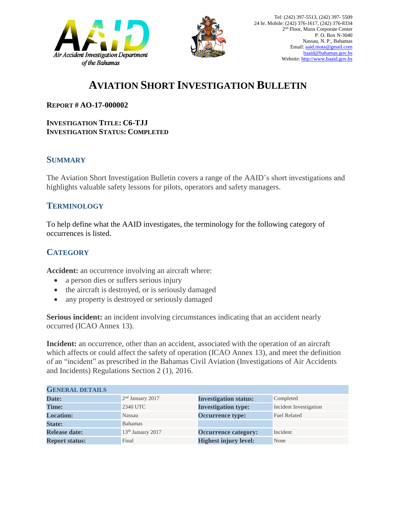



## **AVIATION SHORT INVESTIGATION BULLETIN**

**REPORT # AO-17-000002**

**INVESTIGATION TITLE: C6-TJJ INVESTIGATION STATUS: COMPLETED**

## **SUMMARY**

The Aviation Short Investigation Bulletin covers a range of the AAID's short investigations and highlights valuable safety lessons for pilots, operators and safety managers.

## **TERMINOLOGY**

To help define what the AAID investigates, the terminology for the following category of occurrences is listed.

## **CATEGORY**

**Accident:** an occurrence involving an aircraft where:

- a person dies or suffers serious injury
- the aircraft is destroyed, or is seriously damaged
- any property is destroyed or seriously damaged

**Serious incident:** an incident involving circumstances indicating that an accident nearly occurred (ICAO Annex 13).

**Incident:** an occurrence, other than an accident, associated with the operation of an aircraft which affects or could affect the safety of operation (ICAO Annex 13), and meet the definition of an "incident" as prescribed in the Bahamas Civil Aviation (Investigations of Air Accidents and Incidents) Regulations Section 2 (1), 2016.

| <b>GENERAL DETAILS</b> |                               |                              |                        |
|------------------------|-------------------------------|------------------------------|------------------------|
| Date:                  | $2nd$ January 2017            | <b>Investigation status:</b> | Completed              |
| <b>Time:</b>           | 2340 UTC                      | <b>Investigation type:</b>   | Incident Investigation |
| <b>Location:</b>       | Nassau                        | <b>Occurrence type:</b>      | <b>Fuel Related</b>    |
| <b>State:</b>          | <b>Bahamas</b>                |                              |                        |
| <b>Release date:</b>   | 13 <sup>th</sup> January 2017 | <b>Occurrence category:</b>  | Incident               |
| <b>Report status:</b>  | Final                         | <b>Highest injury level:</b> | None                   |